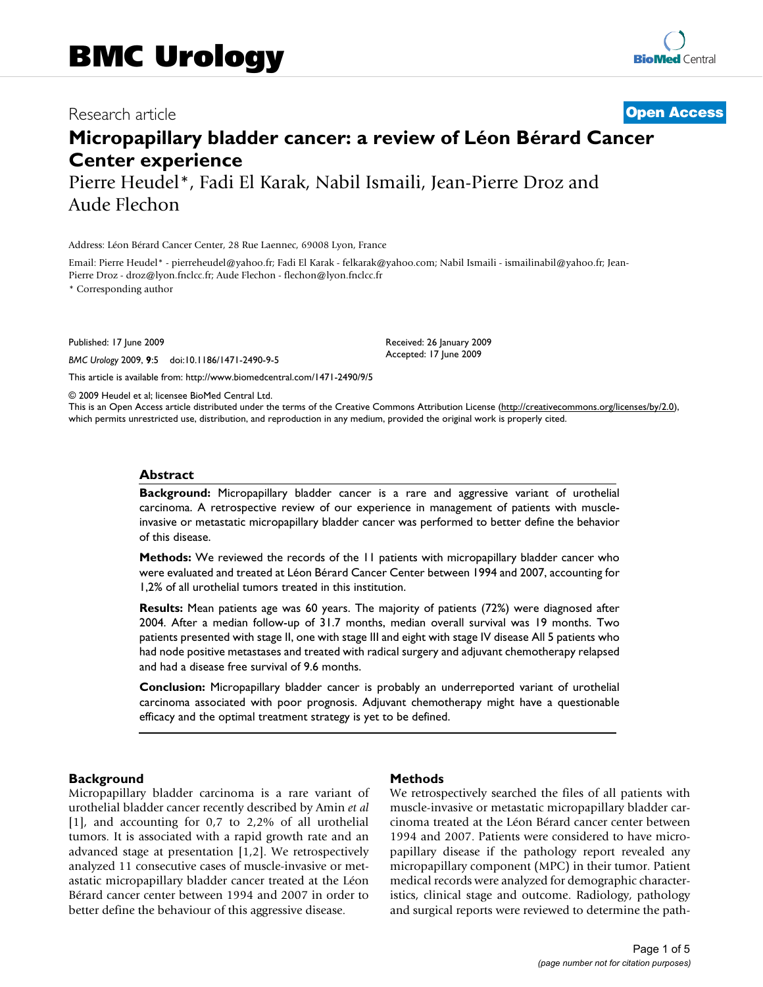## Research article **[Open Access](http://www.biomedcentral.com/info/about/charter/)**

# **Micropapillary bladder cancer: a review of Léon Bérard Cancer Center experience**

Pierre Heudel\*, Fadi El Karak, Nabil Ismaili, Jean-Pierre Droz and Aude Flechon

Address: Léon Bérard Cancer Center, 28 Rue Laennec, 69008 Lyon, France

Email: Pierre Heudel\* - pierreheudel@yahoo.fr; Fadi El Karak - felkarak@yahoo.com; Nabil Ismaili - ismailinabil@yahoo.fr; Jean-Pierre Droz - droz@lyon.fnclcc.fr; Aude Flechon - flechon@lyon.fnclcc.fr

\* Corresponding author

Published: 17 June 2009

*BMC Urology* 2009, **9**:5 doi:10.1186/1471-2490-9-5

[This article is available from: http://www.biomedcentral.com/1471-2490/9/5](http://www.biomedcentral.com/1471-2490/9/5)

© 2009 Heudel et al; licensee BioMed Central Ltd.

This is an Open Access article distributed under the terms of the Creative Commons Attribution License [\(http://creativecommons.org/licenses/by/2.0\)](http://creativecommons.org/licenses/by/2.0), which permits unrestricted use, distribution, and reproduction in any medium, provided the original work is properly cited.

Received: 26 January 2009 Accepted: 17 June 2009

#### **Abstract**

**Background:** Micropapillary bladder cancer is a rare and aggressive variant of urothelial carcinoma. A retrospective review of our experience in management of patients with muscleinvasive or metastatic micropapillary bladder cancer was performed to better define the behavior of this disease.

**Methods:** We reviewed the records of the 11 patients with micropapillary bladder cancer who were evaluated and treated at Léon Bérard Cancer Center between 1994 and 2007, accounting for 1,2% of all urothelial tumors treated in this institution.

**Results:** Mean patients age was 60 years. The majority of patients (72%) were diagnosed after 2004. After a median follow-up of 31.7 months, median overall survival was 19 months. Two patients presented with stage II, one with stage III and eight with stage IV disease All 5 patients who had node positive metastases and treated with radical surgery and adjuvant chemotherapy relapsed and had a disease free survival of 9.6 months.

**Conclusion:** Micropapillary bladder cancer is probably an underreported variant of urothelial carcinoma associated with poor prognosis. Adjuvant chemotherapy might have a questionable efficacy and the optimal treatment strategy is yet to be defined.

#### **Background**

Micropapillary bladder carcinoma is a rare variant of urothelial bladder cancer recently described by Amin *et al* [1], and accounting for 0,7 to 2,2% of all urothelial tumors. It is associated with a rapid growth rate and an advanced stage at presentation [1,2]. We retrospectively analyzed 11 consecutive cases of muscle-invasive or metastatic micropapillary bladder cancer treated at the Léon Bérard cancer center between 1994 and 2007 in order to better define the behaviour of this aggressive disease.

#### **Methods**

We retrospectively searched the files of all patients with muscle-invasive or metastatic micropapillary bladder carcinoma treated at the Léon Bérard cancer center between 1994 and 2007. Patients were considered to have micropapillary disease if the pathology report revealed any micropapillary component (MPC) in their tumor. Patient medical records were analyzed for demographic characteristics, clinical stage and outcome. Radiology, pathology and surgical reports were reviewed to determine the path-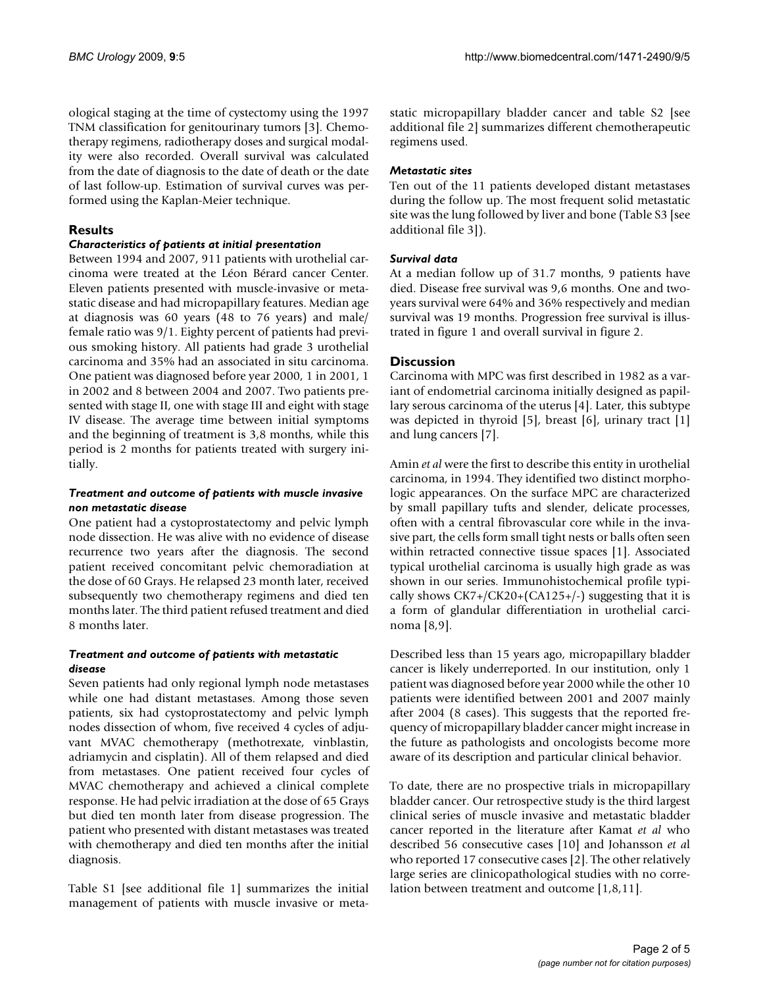ological staging at the time of cystectomy using the 1997 TNM classification for genitourinary tumors [3]. Chemotherapy regimens, radiotherapy doses and surgical modality were also recorded. Overall survival was calculated from the date of diagnosis to the date of death or the date of last follow-up. Estimation of survival curves was performed using the Kaplan-Meier technique.

## **Results**

#### *Characteristics of patients at initial presentation*

Between 1994 and 2007, 911 patients with urothelial carcinoma were treated at the Léon Bérard cancer Center. Eleven patients presented with muscle-invasive or metastatic disease and had micropapillary features. Median age at diagnosis was 60 years (48 to 76 years) and male/ female ratio was 9/1. Eighty percent of patients had previous smoking history. All patients had grade 3 urothelial carcinoma and 35% had an associated in situ carcinoma. One patient was diagnosed before year 2000, 1 in 2001, 1 in 2002 and 8 between 2004 and 2007. Two patients presented with stage II, one with stage III and eight with stage IV disease. The average time between initial symptoms and the beginning of treatment is 3,8 months, while this period is 2 months for patients treated with surgery initially.

## *Treatment and outcome of patients with muscle invasive non metastatic disease*

One patient had a cystoprostatectomy and pelvic lymph node dissection. He was alive with no evidence of disease recurrence two years after the diagnosis. The second patient received concomitant pelvic chemoradiation at the dose of 60 Grays. He relapsed 23 month later, received subsequently two chemotherapy regimens and died ten months later. The third patient refused treatment and died 8 months later.

## *Treatment and outcome of patients with metastatic disease*

Seven patients had only regional lymph node metastases while one had distant metastases. Among those seven patients, six had cystoprostatectomy and pelvic lymph nodes dissection of whom, five received 4 cycles of adjuvant MVAC chemotherapy (methotrexate, vinblastin, adriamycin and cisplatin). All of them relapsed and died from metastases. One patient received four cycles of MVAC chemotherapy and achieved a clinical complete response. He had pelvic irradiation at the dose of 65 Grays but died ten month later from disease progression. The patient who presented with distant metastases was treated with chemotherapy and died ten months after the initial diagnosis.

Table S1 [see additional file 1] summarizes the initial management of patients with muscle invasive or metastatic micropapillary bladder cancer and table S2 [see additional file 2] summarizes different chemotherapeutic regimens used.

## *Metastatic sites*

Ten out of the 11 patients developed distant metastases during the follow up. The most frequent solid metastatic site was the lung followed by liver and bone (Table S3 [see additional file 3]).

## *Survival data*

At a median follow up of 31.7 months, 9 patients have died. Disease free survival was 9,6 months. One and twoyears survival were 64% and 36% respectively and median survival was 19 months. Progression free survival is illustrated in figure 1 and overall survival in figure 2.

## **Discussion**

Carcinoma with MPC was first described in 1982 as a variant of endometrial carcinoma initially designed as papillary serous carcinoma of the uterus [4]. Later, this subtype was depicted in thyroid [5], breast [6], urinary tract [1] and lung cancers [7].

Amin *et al* were the first to describe this entity in urothelial carcinoma, in 1994. They identified two distinct morphologic appearances. On the surface MPC are characterized by small papillary tufts and slender, delicate processes, often with a central fibrovascular core while in the invasive part, the cells form small tight nests or balls often seen within retracted connective tissue spaces [1]. Associated typical urothelial carcinoma is usually high grade as was shown in our series. Immunohistochemical profile typically shows  $CK7+(CK20+(CA125+/-)$  suggesting that it is a form of glandular differentiation in urothelial carcinoma [8,9].

Described less than 15 years ago, micropapillary bladder cancer is likely underreported. In our institution, only 1 patient was diagnosed before year 2000 while the other 10 patients were identified between 2001 and 2007 mainly after 2004 (8 cases). This suggests that the reported frequency of micropapillary bladder cancer might increase in the future as pathologists and oncologists become more aware of its description and particular clinical behavior.

To date, there are no prospective trials in micropapillary bladder cancer. Our retrospective study is the third largest clinical series of muscle invasive and metastatic bladder cancer reported in the literature after Kamat *et al* who described 56 consecutive cases [10] and Johansson *et a*l who reported 17 consecutive cases [2]. The other relatively large series are clinicopathological studies with no correlation between treatment and outcome [1,8,11].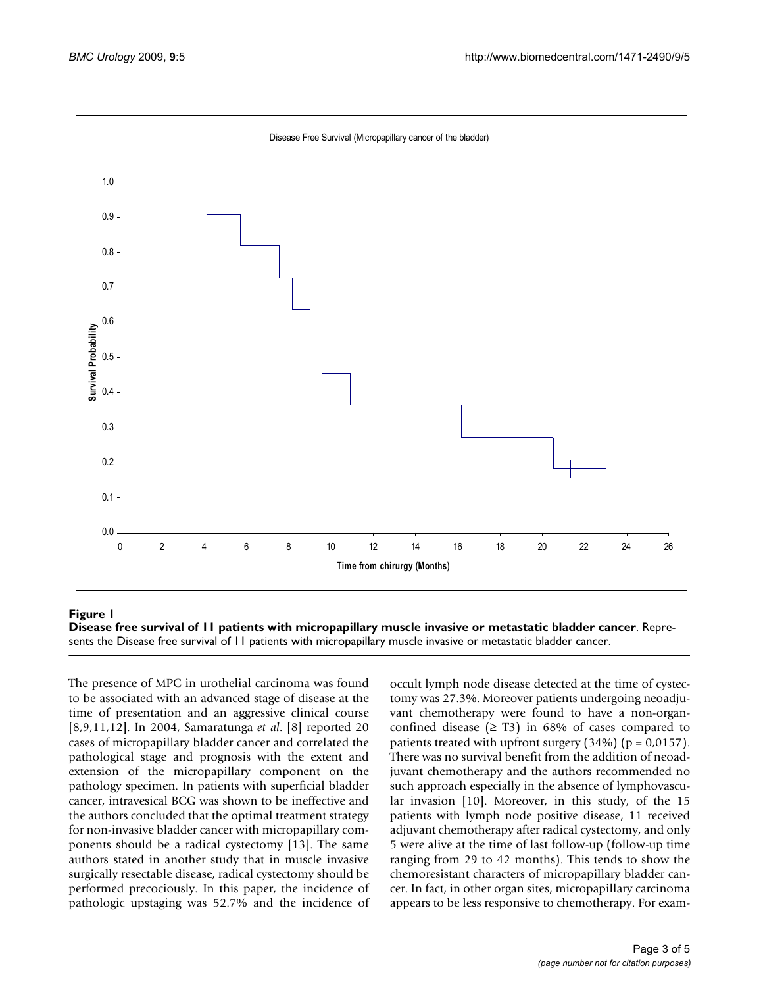

## Disease free survival of 11 patients with micropapil **Figure 1** lary muscle invasive or metastatic bladder cancer

**Disease free survival of 11 patients with micropapillary muscle invasive or metastatic bladder cancer**. Represents the Disease free survival of 11 patients with micropapillary muscle invasive or metastatic bladder cancer.

The presence of MPC in urothelial carcinoma was found to be associated with an advanced stage of disease at the time of presentation and an aggressive clinical course [8,9,11,12]. In 2004, Samaratunga *et al*. [8] reported 20 cases of micropapillary bladder cancer and correlated the pathological stage and prognosis with the extent and extension of the micropapillary component on the pathology specimen. In patients with superficial bladder cancer, intravesical BCG was shown to be ineffective and the authors concluded that the optimal treatment strategy for non-invasive bladder cancer with micropapillary components should be a radical cystectomy [13]. The same authors stated in another study that in muscle invasive surgically resectable disease, radical cystectomy should be performed precociously. In this paper, the incidence of pathologic upstaging was 52.7% and the incidence of occult lymph node disease detected at the time of cystectomy was 27.3%. Moreover patients undergoing neoadjuvant chemotherapy were found to have a non-organconfined disease  $(≥ T3)$  in 68% of cases compared to patients treated with upfront surgery  $(34%)$  (p = 0,0157). There was no survival benefit from the addition of neoadjuvant chemotherapy and the authors recommended no such approach especially in the absence of lymphovascular invasion [10]. Moreover, in this study, of the 15 patients with lymph node positive disease, 11 received adjuvant chemotherapy after radical cystectomy, and only 5 were alive at the time of last follow-up (follow-up time ranging from 29 to 42 months). This tends to show the chemoresistant characters of micropapillary bladder cancer. In fact, in other organ sites, micropapillary carcinoma appears to be less responsive to chemotherapy. For exam-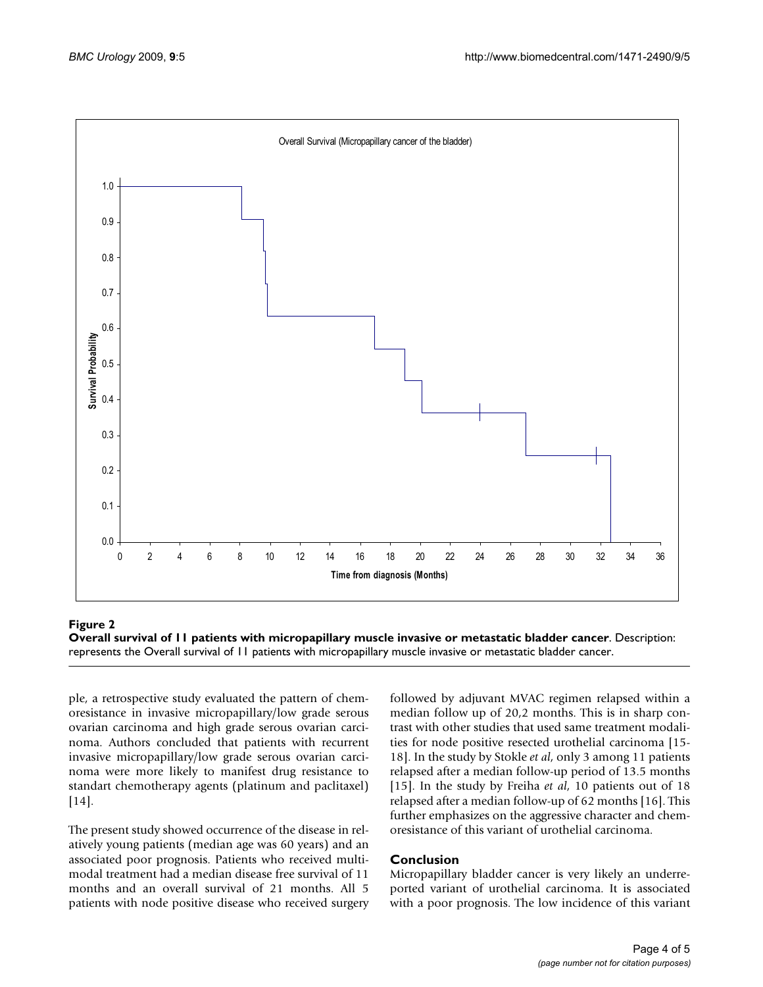

## Overall survival of 11 patients with micropapilla **Figure 2** ry muscle invasive or metastatic bladder cancer

**Overall survival of 11 patients with micropapillary muscle invasive or metastatic bladder cancer**. Description: represents the Overall survival of 11 patients with micropapillary muscle invasive or metastatic bladder cancer.

ple, a retrospective study evaluated the pattern of chemoresistance in invasive micropapillary/low grade serous ovarian carcinoma and high grade serous ovarian carcinoma. Authors concluded that patients with recurrent invasive micropapillary/low grade serous ovarian carcinoma were more likely to manifest drug resistance to standart chemotherapy agents (platinum and paclitaxel) [14].

The present study showed occurrence of the disease in relatively young patients (median age was 60 years) and an associated poor prognosis. Patients who received multimodal treatment had a median disease free survival of 11 months and an overall survival of 21 months. All 5 patients with node positive disease who received surgery followed by adjuvant MVAC regimen relapsed within a median follow up of 20,2 months. This is in sharp contrast with other studies that used same treatment modalities for node positive resected urothelial carcinoma [15- 18]. In the study by Stokle *et al*, only 3 among 11 patients relapsed after a median follow-up period of 13.5 months [15]. In the study by Freiha *et al*, 10 patients out of 18 relapsed after a median follow-up of 62 months [16]. This further emphasizes on the aggressive character and chemoresistance of this variant of urothelial carcinoma.

## **Conclusion**

Micropapillary bladder cancer is very likely an underreported variant of urothelial carcinoma. It is associated with a poor prognosis. The low incidence of this variant